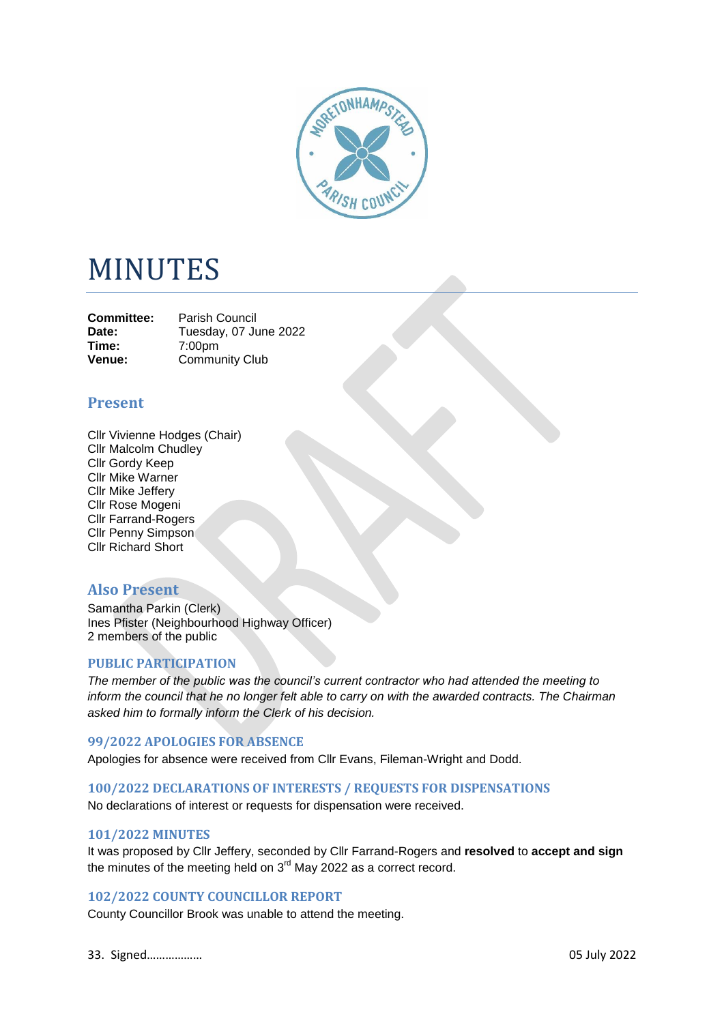

# MINUTES

**Committee:** Parish Council<br>Date: Tuesday 07 Ju Date: Tuesday, 07 June 2022<br> **Time:** 7:00pm **Time:** 7:00pm **Venue:** Community Club

# **Present**

Cllr Vivienne Hodges (Chair) Cllr Malcolm Chudley Cllr Gordy Keep Cllr Mike Warner Cllr Mike Jeffery Cllr Rose Mogeni Cllr Farrand-Rogers Cllr Penny Simpson Cllr Richard Short

# **Also Present**

Samantha Parkin (Clerk) Ines Pfister (Neighbourhood Highway Officer) 2 members of the public

# **PUBLIC PARTICIPATION**

*The member of the public was the council's current contractor who had attended the meeting to inform the council that he no longer felt able to carry on with the awarded contracts. The Chairman asked him to formally inform the Clerk of his decision.*

#### **99/2022 APOLOGIES FOR ABSENCE**

Apologies for absence were received from Cllr Evans, Fileman-Wright and Dodd.

#### **100/2022 DECLARATIONS OF INTERESTS / REQUESTS FOR DISPENSATIONS**

No declarations of interest or requests for dispensation were received.

# **101/2022 MINUTES**

It was proposed by Cllr Jeffery, seconded by Cllr Farrand-Rogers and **resolved** to **accept and sign** the minutes of the meeting held on  $3<sup>rd</sup>$  May 2022 as a correct record.

# **102/2022 COUNTY COUNCILLOR REPORT**

County Councillor Brook was unable to attend the meeting.

33. Signed……………… 05 July 2022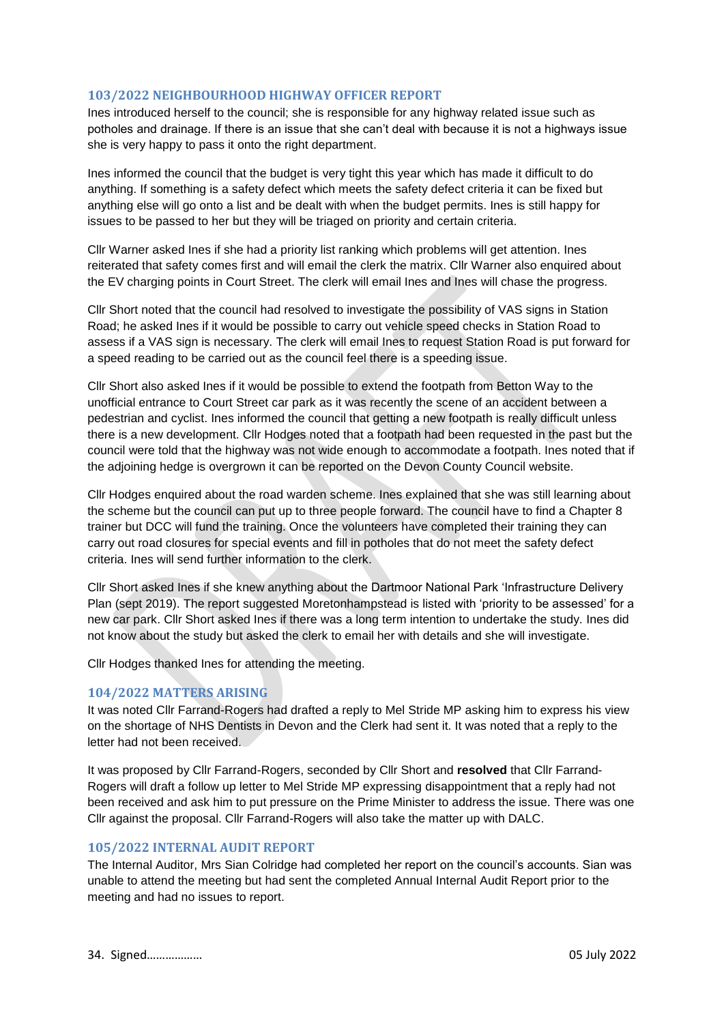# **103/2022 NEIGHBOURHOOD HIGHWAY OFFICER REPORT**

Ines introduced herself to the council; she is responsible for any highway related issue such as potholes and drainage. If there is an issue that she can't deal with because it is not a highways issue she is very happy to pass it onto the right department.

Ines informed the council that the budget is very tight this year which has made it difficult to do anything. If something is a safety defect which meets the safety defect criteria it can be fixed but anything else will go onto a list and be dealt with when the budget permits. Ines is still happy for issues to be passed to her but they will be triaged on priority and certain criteria.

Cllr Warner asked Ines if she had a priority list ranking which problems will get attention. Ines reiterated that safety comes first and will email the clerk the matrix. Cllr Warner also enquired about the EV charging points in Court Street. The clerk will email Ines and Ines will chase the progress.

Cllr Short noted that the council had resolved to investigate the possibility of VAS signs in Station Road; he asked Ines if it would be possible to carry out vehicle speed checks in Station Road to assess if a VAS sign is necessary. The clerk will email Ines to request Station Road is put forward for a speed reading to be carried out as the council feel there is a speeding issue.

Cllr Short also asked Ines if it would be possible to extend the footpath from Betton Way to the unofficial entrance to Court Street car park as it was recently the scene of an accident between a pedestrian and cyclist. Ines informed the council that getting a new footpath is really difficult unless there is a new development. Cllr Hodges noted that a footpath had been requested in the past but the council were told that the highway was not wide enough to accommodate a footpath. Ines noted that if the adjoining hedge is overgrown it can be reported on the Devon County Council website.

Cllr Hodges enquired about the road warden scheme. Ines explained that she was still learning about the scheme but the council can put up to three people forward. The council have to find a Chapter 8 trainer but DCC will fund the training. Once the volunteers have completed their training they can carry out road closures for special events and fill in potholes that do not meet the safety defect criteria. Ines will send further information to the clerk.

Cllr Short asked Ines if she knew anything about the Dartmoor National Park 'Infrastructure Delivery Plan (sept 2019). The report suggested Moretonhampstead is listed with 'priority to be assessed' for a new car park. Cllr Short asked Ines if there was a long term intention to undertake the study. Ines did not know about the study but asked the clerk to email her with details and she will investigate.

Cllr Hodges thanked Ines for attending the meeting.

# **104/2022 MATTERS ARISING**

It was noted Cllr Farrand-Rogers had drafted a reply to Mel Stride MP asking him to express his view on the shortage of NHS Dentists in Devon and the Clerk had sent it. It was noted that a reply to the letter had not been received.

It was proposed by Cllr Farrand-Rogers, seconded by Cllr Short and **resolved** that Cllr Farrand-Rogers will draft a follow up letter to Mel Stride MP expressing disappointment that a reply had not been received and ask him to put pressure on the Prime Minister to address the issue. There was one Cllr against the proposal. Cllr Farrand-Rogers will also take the matter up with DALC.

# **105/2022 INTERNAL AUDIT REPORT**

The Internal Auditor, Mrs Sian Colridge had completed her report on the council's accounts. Sian was unable to attend the meeting but had sent the completed Annual Internal Audit Report prior to the meeting and had no issues to report.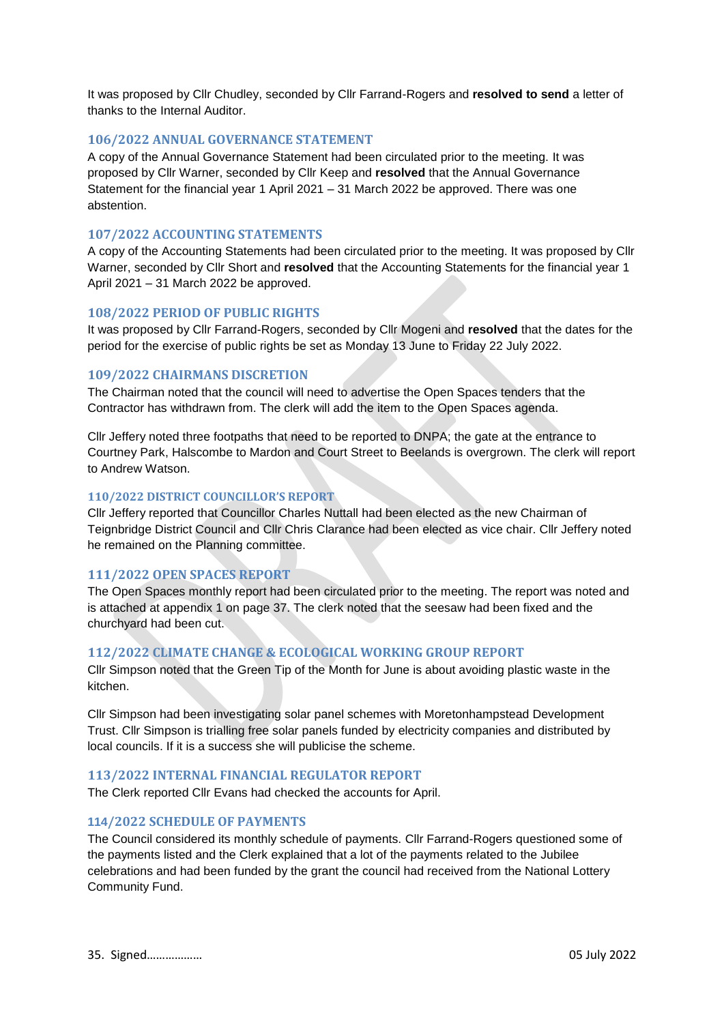It was proposed by Cllr Chudley, seconded by Cllr Farrand-Rogers and **resolved to send** a letter of thanks to the Internal Auditor.

#### **106/2022 ANNUAL GOVERNANCE STATEMENT**

A copy of the Annual Governance Statement had been circulated prior to the meeting. It was proposed by Cllr Warner, seconded by Cllr Keep and **resolved** that the Annual Governance Statement for the financial year 1 April 2021 – 31 March 2022 be approved. There was one abstention.

# **107/2022 ACCOUNTING STATEMENTS**

A copy of the Accounting Statements had been circulated prior to the meeting. It was proposed by Cllr Warner, seconded by Cllr Short and **resolved** that the Accounting Statements for the financial year 1 April 2021 – 31 March 2022 be approved.

#### **108/2022 PERIOD OF PUBLIC RIGHTS**

It was proposed by Cllr Farrand-Rogers, seconded by Cllr Mogeni and **resolved** that the dates for the period for the exercise of public rights be set as Monday 13 June to Friday 22 July 2022.

#### **109/2022 CHAIRMANS DISCRETION**

The Chairman noted that the council will need to advertise the Open Spaces tenders that the Contractor has withdrawn from. The clerk will add the item to the Open Spaces agenda.

Cllr Jeffery noted three footpaths that need to be reported to DNPA; the gate at the entrance to Courtney Park, Halscombe to Mardon and Court Street to Beelands is overgrown. The clerk will report to Andrew Watson.

#### **110/2022 DISTRICT COUNCILLOR'S REPORT**

Cllr Jeffery reported that Councillor Charles Nuttall had been elected as the new Chairman of Teignbridge District Council and Cllr Chris Clarance had been elected as vice chair. Cllr Jeffery noted he remained on the Planning committee.

# **111/2022 OPEN SPACES REPORT**

The Open Spaces monthly report had been circulated prior to the meeting. The report was noted and is attached at appendix 1 on page 37. The clerk noted that the seesaw had been fixed and the churchyard had been cut.

#### **112/2022 CLIMATE CHANGE & ECOLOGICAL WORKING GROUP REPORT**

Cllr Simpson noted that the Green Tip of the Month for June is about avoiding plastic waste in the kitchen.

Cllr Simpson had been investigating solar panel schemes with Moretonhampstead Development Trust. Cllr Simpson is trialling free solar panels funded by electricity companies and distributed by local councils. If it is a success she will publicise the scheme.

#### **113/2022 INTERNAL FINANCIAL REGULATOR REPORT**

The Clerk reported Cllr Evans had checked the accounts for April.

#### **114/2022 SCHEDULE OF PAYMENTS**

The Council considered its monthly schedule of payments. Cllr Farrand-Rogers questioned some of the payments listed and the Clerk explained that a lot of the payments related to the Jubilee celebrations and had been funded by the grant the council had received from the National Lottery Community Fund.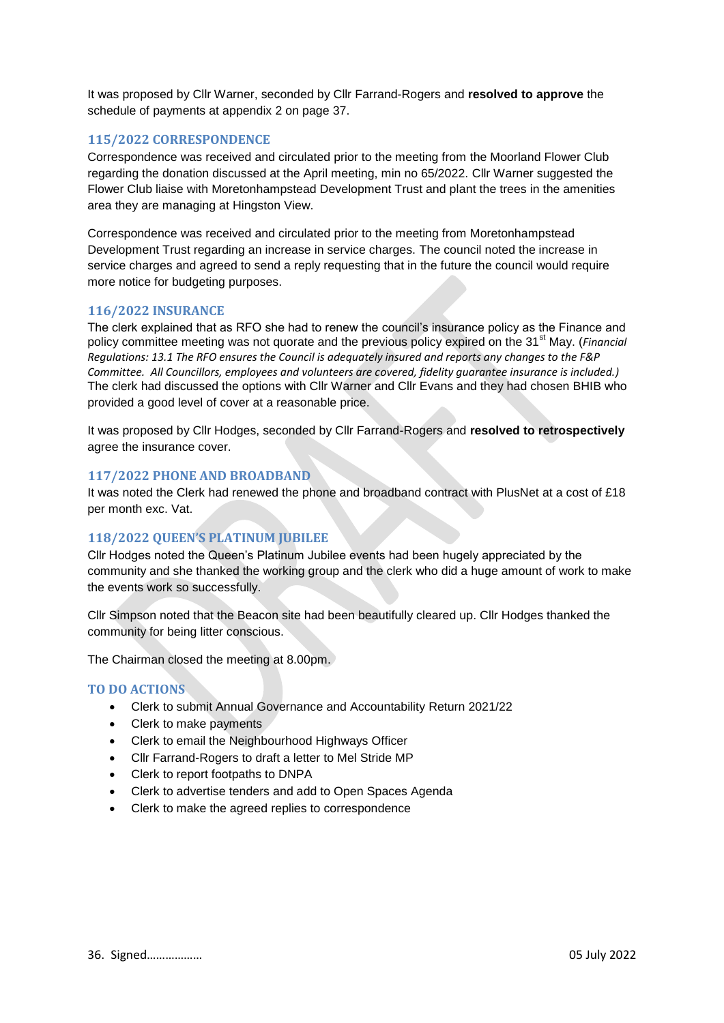It was proposed by Cllr Warner, seconded by Cllr Farrand-Rogers and **resolved to approve** the schedule of payments at appendix 2 on page 37.

# **115/2022 CORRESPONDENCE**

Correspondence was received and circulated prior to the meeting from the Moorland Flower Club regarding the donation discussed at the April meeting, min no 65/2022. Cllr Warner suggested the Flower Club liaise with Moretonhampstead Development Trust and plant the trees in the amenities area they are managing at Hingston View.

Correspondence was received and circulated prior to the meeting from Moretonhampstead Development Trust regarding an increase in service charges. The council noted the increase in service charges and agreed to send a reply requesting that in the future the council would require more notice for budgeting purposes.

# **116/2022 INSURANCE**

The clerk explained that as RFO she had to renew the council's insurance policy as the Finance and policy committee meeting was not quorate and the previous policy expired on the 31<sup>st</sup> May. (*Financial Regulations: 13.1 The RFO ensures the Council is adequately insured and reports any changes to the F&P Committee. All Councillors, employees and volunteers are covered, fidelity guarantee insurance is included.)* The clerk had discussed the options with Cllr Warner and Cllr Evans and they had chosen BHIB who provided a good level of cover at a reasonable price.

It was proposed by Cllr Hodges, seconded by Cllr Farrand-Rogers and **resolved to retrospectively** agree the insurance cover.

# **117/2022 PHONE AND BROADBAND**

It was noted the Clerk had renewed the phone and broadband contract with PlusNet at a cost of £18 per month exc. Vat.

# **118/2022 QUEEN'S PLATINUM JUBILEE**

Cllr Hodges noted the Queen's Platinum Jubilee events had been hugely appreciated by the community and she thanked the working group and the clerk who did a huge amount of work to make the events work so successfully.

Cllr Simpson noted that the Beacon site had been beautifully cleared up. Cllr Hodges thanked the community for being litter conscious.

The Chairman closed the meeting at 8.00pm.

# **TO DO ACTIONS**

- Clerk to submit Annual Governance and Accountability Return 2021/22
- Clerk to make payments
- Clerk to email the Neighbourhood Highways Officer
- Cllr Farrand-Rogers to draft a letter to Mel Stride MP
- Clerk to report footpaths to DNPA
- Clerk to advertise tenders and add to Open Spaces Agenda
- Clerk to make the agreed replies to correspondence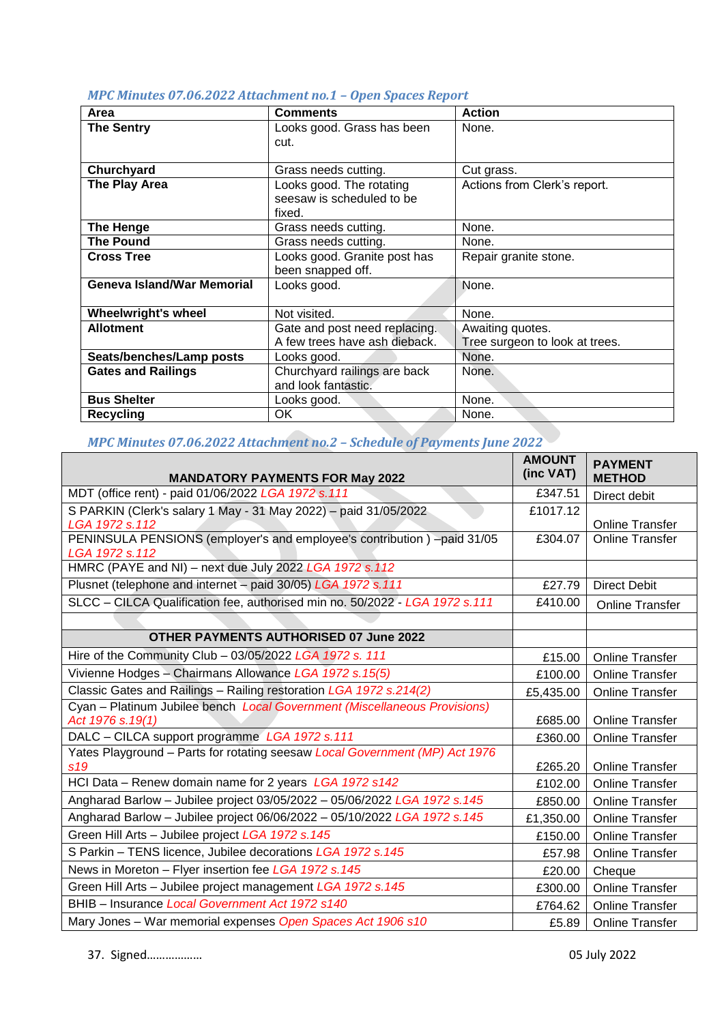|  |  | MPC Minutes 07.06.2022 Attachment no.1 - Open Spaces Report |  |  |  |
|--|--|-------------------------------------------------------------|--|--|--|
|--|--|-------------------------------------------------------------|--|--|--|

| Area                              | <b>Comments</b>                                                 | <b>Action</b>                                      |
|-----------------------------------|-----------------------------------------------------------------|----------------------------------------------------|
| <b>The Sentry</b>                 | Looks good. Grass has been<br>cut.                              | None.                                              |
| Churchyard                        | Grass needs cutting.                                            | Cut grass.                                         |
| The Play Area                     | Looks good. The rotating<br>seesaw is scheduled to be<br>fixed. | Actions from Clerk's report.                       |
| <b>The Henge</b>                  | Grass needs cutting.                                            | None.                                              |
| <b>The Pound</b>                  | Grass needs cutting.                                            | None.                                              |
| <b>Cross Tree</b>                 | Looks good. Granite post has<br>been snapped off.               | Repair granite stone.                              |
| <b>Geneva Island/War Memorial</b> | Looks good.                                                     | None.                                              |
| <b>Wheelwright's wheel</b>        | Not visited.                                                    | None.                                              |
| <b>Allotment</b>                  | Gate and post need replacing.<br>A few trees have ash dieback.  | Awaiting quotes.<br>Tree surgeon to look at trees. |
| Seats/benches/Lamp posts          | Looks good.                                                     | None.                                              |
| <b>Gates and Railings</b>         | Churchyard railings are back<br>and look fantastic.             | None.                                              |
| <b>Bus Shelter</b>                | Looks good.                                                     | None.                                              |
| <b>Recycling</b>                  | OK.                                                             | None.                                              |

# *MPC Minutes 07.06.2022 Attachment no.2 – Schedule of Payments June 2022*

| <b>MANDATORY PAYMENTS FOR May 2022</b>                                                    | <b>AMOUNT</b><br>(inc VAT) | <b>PAYMENT</b><br><b>METHOD</b> |
|-------------------------------------------------------------------------------------------|----------------------------|---------------------------------|
| MDT (office rent) - paid 01/06/2022 LGA 1972 s.111                                        |                            | Direct debit                    |
| S PARKIN (Clerk's salary 1 May - 31 May 2022) - paid 31/05/2022                           |                            |                                 |
| LGA 1972 s.112                                                                            | £304.07                    | <b>Online Transfer</b>          |
| PENINSULA PENSIONS (employer's and employee's contribution) -paid 31/05<br>LGA 1972 s.112 |                            | <b>Online Transfer</b>          |
| HMRC (PAYE and NI) - next due July 2022 LGA 1972 s.112                                    |                            |                                 |
| Plusnet (telephone and internet - paid 30/05) LGA 1972 s.111                              | £27.79                     | <b>Direct Debit</b>             |
| SLCC - CILCA Qualification fee, authorised min no. 50/2022 - LGA 1972 s.111               | £410.00                    | <b>Online Transfer</b>          |
|                                                                                           |                            |                                 |
| <b>OTHER PAYMENTS AUTHORISED 07 June 2022</b>                                             |                            |                                 |
| Hire of the Community Club - 03/05/2022 LGA 1972 s. 111                                   |                            | <b>Online Transfer</b>          |
| Vivienne Hodges - Chairmans Allowance LGA 1972 s.15(5)                                    |                            | <b>Online Transfer</b>          |
| Classic Gates and Railings - Railing restoration LGA 1972 s.214(2)                        |                            | <b>Online Transfer</b>          |
| Cyan - Platinum Jubilee bench Local Government (Miscellaneous Provisions)                 |                            |                                 |
| Act 1976 s.19(1)                                                                          |                            | <b>Online Transfer</b>          |
| DALC - CILCA support programme LGA 1972 s.111                                             |                            | <b>Online Transfer</b>          |
| Yates Playground - Parts for rotating seesaw Local Government (MP) Act 1976<br>s19        |                            | <b>Online Transfer</b>          |
| HCI Data - Renew domain name for 2 years LGA 1972 s142                                    |                            | <b>Online Transfer</b>          |
| Angharad Barlow - Jubilee project 03/05/2022 - 05/06/2022 LGA 1972 s.145                  |                            | <b>Online Transfer</b>          |
| Angharad Barlow - Jubilee project 06/06/2022 - 05/10/2022 LGA 1972 s.145                  |                            | <b>Online Transfer</b>          |
| Green Hill Arts - Jubilee project LGA 1972 s.145                                          |                            | <b>Online Transfer</b>          |
| S Parkin - TENS licence, Jubilee decorations LGA 1972 s.145                               |                            | <b>Online Transfer</b>          |
| News in Moreton - Flyer insertion fee LGA 1972 s.145                                      |                            | Cheque                          |
| Green Hill Arts - Jubilee project management LGA 1972 s.145                               |                            | <b>Online Transfer</b>          |
| BHIB - Insurance Local Government Act 1972 s140                                           |                            | <b>Online Transfer</b>          |
| Mary Jones - War memorial expenses Open Spaces Act 1906 s10                               | £5.89                      | <b>Online Transfer</b>          |